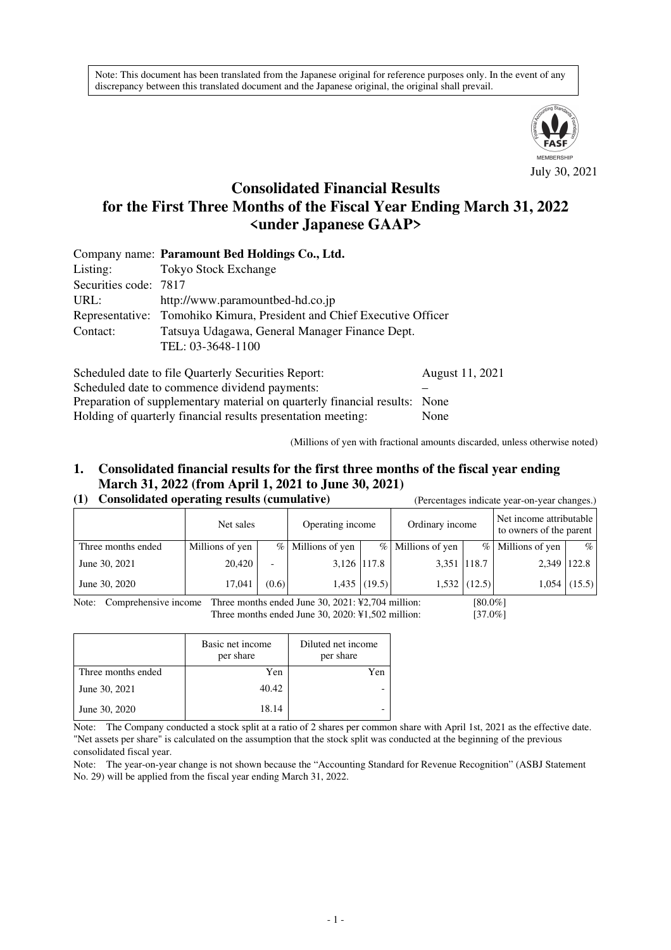Note: This document has been translated from the Japanese original for reference purposes only. In the event of any discrepancy between this translated document and the Japanese original, the original shall prevail.



# **Consolidated Financial Results for the First Three Months of the Fiscal Year Ending March 31, 2022 <under Japanese GAAP>**

|                       | Company name: Paramount Bed Holdings Co., Ltd.                         |  |  |
|-----------------------|------------------------------------------------------------------------|--|--|
| Listing:              | <b>Tokyo Stock Exchange</b>                                            |  |  |
| Securities code: 7817 |                                                                        |  |  |
| URL:                  | http://www.paramountbed-hd.co.jp                                       |  |  |
|                       | Representative: Tomohiko Kimura, President and Chief Executive Officer |  |  |
| Contact:              | Tatsuya Udagawa, General Manager Finance Dept.                         |  |  |
|                       | TEL: 03-3648-1100                                                      |  |  |
|                       |                                                                        |  |  |

Scheduled date to file Quarterly Securities Report: August 11, 2021 Scheduled date to commence dividend payments: Preparation of supplementary material on quarterly financial results: None Holding of quarterly financial results presentation meeting: None

(Millions of yen with fractional amounts discarded, unless otherwise noted)

# **1. Consolidated financial results for the first three months of the fiscal year ending March 31, 2022 (from April 1, 2021 to June 30, 2021)**

|  |  | (1) Consolidated operating results (cumulative) |  |
|--|--|-------------------------------------------------|--|

| Consolidated operating results (cumulative) |                 |                          |                   | (Percentages indicate year-on-year changes.) |                     |                |                                                    |                |
|---------------------------------------------|-----------------|--------------------------|-------------------|----------------------------------------------|---------------------|----------------|----------------------------------------------------|----------------|
|                                             | Net sales       |                          | Operating income  |                                              | Ordinary income     |                | Net income attributable<br>to owners of the parent |                |
| Three months ended                          | Millions of yen |                          | % Millions of yen |                                              | $%$ Millions of yen |                | $%$ Millions of yen                                | $\%$           |
| June 30, 2021                               | 20,420          | $\overline{\phantom{a}}$ |                   | 3,126 117.8                                  | 3,351 118.7         |                | 2.349                                              | 122.8          |
| June 30, 2020                               | 17,041          | (0.6)                    |                   | $1,435$ (19.5)                               |                     | $1,532$ (12.5) |                                                    | $1,054$ (15.5) |

Note: Comprehensive income Three months ended June 30, 2021: ¥2,704 million: [80.0%] Three months ended June 30, 2020: ¥1,502 million: [37.0%]

|                    | Basic net income<br>per share | Diluted net income<br>per share |
|--------------------|-------------------------------|---------------------------------|
| Three months ended | Yen                           | Yen                             |
| June 30, 2021      | 40.42                         |                                 |
| June 30, 2020      | 18.14                         |                                 |

Note: The Company conducted a stock split at a ratio of 2 shares per common share with April 1st, 2021 as the effective date. "Net assets per share" is calculated on the assumption that the stock split was conducted at the beginning of the previous consolidated fiscal year.

Note: The year-on-year change is not shown because the "Accounting Standard for Revenue Recognition" (ASBJ Statement No. 29) will be applied from the fiscal year ending March 31, 2022.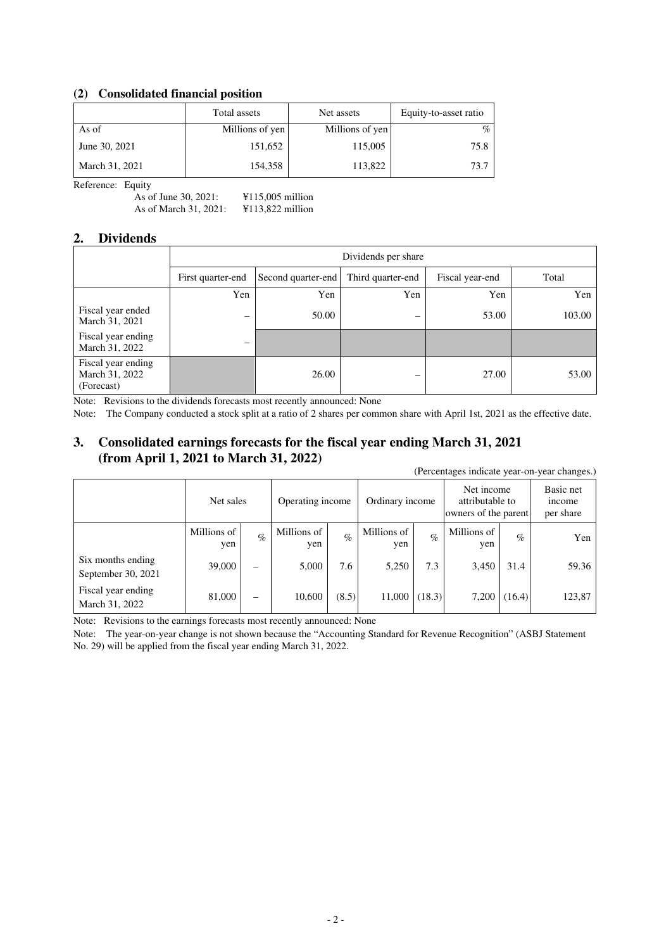## **(2) Consolidated financial position**

|                | Total assets    | Net assets      | Equity-to-asset ratio |
|----------------|-----------------|-----------------|-----------------------|
| As of          | Millions of yen | Millions of yen | %                     |
| June 30, 2021  | 151,652         | 115,005         | 75.8                  |
| March 31, 2021 | 154,358         | 113,822         | 73.7                  |

Reference: Equity

As of June 30, 2021: ¥115,005 million As of March 31, 2021: ¥113,822 million

#### **2. Dividends**

|                                                    |                          | Dividends per share |                   |                 |        |  |  |  |
|----------------------------------------------------|--------------------------|---------------------|-------------------|-----------------|--------|--|--|--|
|                                                    | First quarter-end        | Second quarter-end  | Third quarter-end | Fiscal year-end | Total  |  |  |  |
|                                                    | Yen                      | Yen                 | Yen               | Yen             | Yen    |  |  |  |
| Fiscal year ended<br>March 31, 2021                | $\overline{\phantom{m}}$ | 50.00               | -                 | 53.00           | 103.00 |  |  |  |
| Fiscal year ending<br>March 31, 2022               | –                        |                     |                   |                 |        |  |  |  |
| Fiscal year ending<br>March 31, 2022<br>(Forecast) |                          | 26.00               |                   | 27.00           | 53.00  |  |  |  |

Note: Revisions to the dividends forecasts most recently announced: None

Note: The Company conducted a stock split at a ratio of 2 shares per common share with April 1st, 2021 as the effective date.

# **3. Consolidated earnings forecasts for the fiscal year ending March 31, 2021 (from April 1, 2021 to March 31, 2022)**

(Percentages indicate year-on-year changes.)

|                                         | Net sales          | Operating income |                    |       |                    |        |                    |        |        | Ordinary income |  | Net income<br>attributable to<br>owners of the parent |  |
|-----------------------------------------|--------------------|------------------|--------------------|-------|--------------------|--------|--------------------|--------|--------|-----------------|--|-------------------------------------------------------|--|
|                                         | Millions of<br>yen | $\%$             | Millions of<br>yen | $\%$  | Millions of<br>yen | $\%$   | Millions of<br>yen | $\%$   | Yen    |                 |  |                                                       |  |
| Six months ending<br>September 30, 2021 | 39,000             | —                | 5,000              | 7.6   | 5,250              | 7.3    | 3,450              | 31.4   | 59.36  |                 |  |                                                       |  |
| Fiscal year ending<br>March 31, 2022    | 81,000             | -                | 10,600             | (8.5) | 11,000             | (18.3) | 7,200              | (16.4) | 123,87 |                 |  |                                                       |  |

Note: Revisions to the earnings forecasts most recently announced: None

Note: The year-on-year change is not shown because the "Accounting Standard for Revenue Recognition" (ASBJ Statement No. 29) will be applied from the fiscal year ending March 31, 2022.